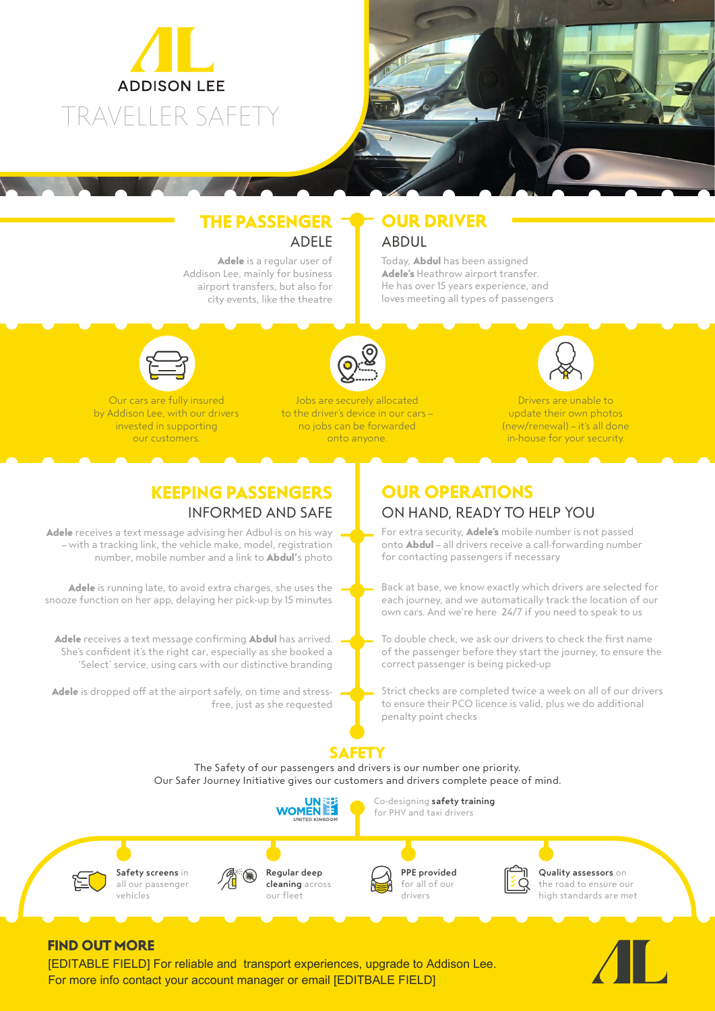

## **THE PASSENGER** ADELE

**Adele** is a regular user of Addison Lee, mainly for business airport transfers, but also for city events, like the theatre

## **OUR DRIVER** ABDUL

Today, **Abdul** has been assigned **Adele's** Heathrow airport transfer. He has over 15 years experience, and loves meeting all types of passengers



Our cars are fully insured by Addison Lee, with our drivers invested in supporting our customers.



Jobs are securely allocated to the driver's device in our cars – no jobs can be forwarded onto anyone.



Drivers are unable to update their own photos (new/renewal) – it's all done in-house for your security.

## **KEEPING PASSENGERS** INFORMED AND SAFE

**Adele** receives a text message advising her Adbul is on his way – with a tracking link, the vehicle make, model, registration number, mobile number and a link to **Abdul'**s photo

**Adele** is running late, to avoid extra charges, she uses the snooze function on her app, delaying her pick-up by 15 minutes

**Adele** receives a text message confirming **Abdul** has arrived. She's confident it's the right car, especially as she booked a 'Select' service, using cars with our distinctive branding

**Adele** is dropped off at the airport safely, on time and stressfree, just as she requested

## **OUR OPERATIONS** ON HAND, READY TO HELP YOU

For extra security, **Adele's** mobile number is not passed onto **Abdul** – all drivers receive a call-forwarding number for contacting passengers if necessary

Back at base, we know exactly which drivers are selected for each journey, and we automatically track the location of our own cars. And we're here 24/7 if you need to speak to us

To double check, we ask our drivers to check the first name of the passenger before they start the journey, to ensure the correct passenger is being picked-up

Strict checks are completed twice a week on all of our drivers to ensure their PCO licence is valid, plus we do additional penalty point checks

# **SAFETY**

The Safety of our passengers and drivers is our number one priority. Our Safer Journey Initiative gives our customers and drivers complete peace of mind.





Co-designing safety training for PHV and taxi drivers



Quality assessors on the road to ensure our high standards are met

## **FIND OUT MORE**

[EDITABLE FIELD] For reliable and transport experiences, upgrade to Addison Lee. For more info contact your account manager or email [EDITBALE FIELD]